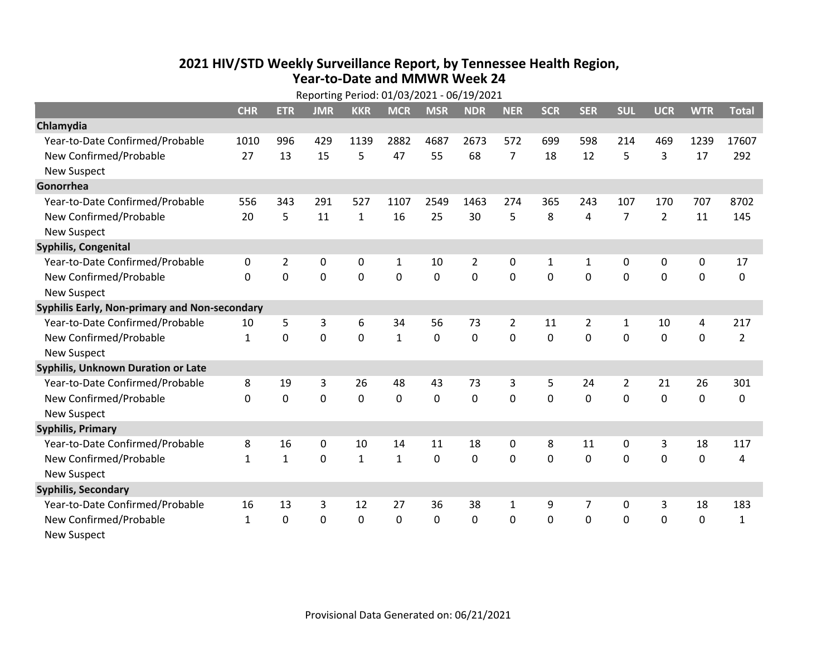## **2021 HIV /STD Weekly Surveillance Report, by Tennessee Health Region, Year‐to‐Date and MMWR Week 24** Reporting Period: 01/03/2021 ‐ 06/19/2021

| Reporting Period: 01/03/2021 - 06/19/2021     |              |                |             |              |              |            |                |                |              |                |                |                |             |                |
|-----------------------------------------------|--------------|----------------|-------------|--------------|--------------|------------|----------------|----------------|--------------|----------------|----------------|----------------|-------------|----------------|
|                                               | <b>CHR</b>   | <b>ETR</b>     | <b>JMR</b>  | <b>KKR</b>   | <b>MCR</b>   | <b>MSR</b> | <b>NDR</b>     | <b>NER</b>     | <b>SCR</b>   | <b>SER</b>     | <b>SUL</b>     | <b>UCR</b>     | <b>WTR</b>  | <b>Total</b>   |
| Chlamydia                                     |              |                |             |              |              |            |                |                |              |                |                |                |             |                |
| Year-to-Date Confirmed/Probable               | 1010         | 996            | 429         | 1139         | 2882         | 4687       | 2673           | 572            | 699          | 598            | 214            | 469            | 1239        | 17607          |
| New Confirmed/Probable                        | 27           | 13             | 15          | 5            | 47           | 55         | 68             | $\overline{7}$ | 18           | 12             | 5              | 3              | 17          | 292            |
| <b>New Suspect</b>                            |              |                |             |              |              |            |                |                |              |                |                |                |             |                |
| Gonorrhea                                     |              |                |             |              |              |            |                |                |              |                |                |                |             |                |
| Year-to-Date Confirmed/Probable               | 556          | 343            | 291         | 527          | 1107         | 2549       | 1463           | 274            | 365          | 243            | 107            | 170            | 707         | 8702           |
| New Confirmed/Probable                        | 20           | 5              | 11          | $\mathbf{1}$ | 16           | 25         | 30             | 5              | 8            | 4              | $\overline{7}$ | $\overline{2}$ | 11          | 145            |
| <b>New Suspect</b>                            |              |                |             |              |              |            |                |                |              |                |                |                |             |                |
| <b>Syphilis, Congenital</b>                   |              |                |             |              |              |            |                |                |              |                |                |                |             |                |
| Year-to-Date Confirmed/Probable               | 0            | $\overline{2}$ | 0           | 0            | $\mathbf{1}$ | 10         | $\overline{2}$ | 0              | $\mathbf{1}$ | $\mathbf{1}$   | 0              | 0              | 0           | 17             |
| New Confirmed/Probable                        | 0            | $\mathbf 0$    | 0           | 0            | 0            | 0          | 0              | 0              | 0            | $\mathbf 0$    | 0              | 0              | $\mathbf 0$ | 0              |
| <b>New Suspect</b>                            |              |                |             |              |              |            |                |                |              |                |                |                |             |                |
| Syphilis Early, Non-primary and Non-secondary |              |                |             |              |              |            |                |                |              |                |                |                |             |                |
| Year-to-Date Confirmed/Probable               | 10           | 5              | 3           | 6            | 34           | 56         | 73             | 2              | 11           | $\overline{2}$ | 1              | 10             | 4           | 217            |
| New Confirmed/Probable                        | $\mathbf{1}$ | $\Omega$       | 0           | $\Omega$     | $\mathbf{1}$ | $\Omega$   | $\Omega$       | $\Omega$       | $\Omega$     | $\Omega$       | $\Omega$       | $\Omega$       | $\mathbf 0$ | $\overline{2}$ |
| <b>New Suspect</b>                            |              |                |             |              |              |            |                |                |              |                |                |                |             |                |
| Syphilis, Unknown Duration or Late            |              |                |             |              |              |            |                |                |              |                |                |                |             |                |
| Year-to-Date Confirmed/Probable               | 8            | 19             | 3           | 26           | 48           | 43         | 73             | 3              | 5            | 24             | $\overline{2}$ | 21             | 26          | 301            |
| New Confirmed/Probable                        | $\Omega$     | $\mathbf 0$    | $\mathbf 0$ | 0            | $\mathbf 0$  | 0          | $\Omega$       | $\Omega$       | $\Omega$     | $\Omega$       | $\Omega$       | 0              | $\mathbf 0$ | 0              |
| <b>New Suspect</b>                            |              |                |             |              |              |            |                |                |              |                |                |                |             |                |
| <b>Syphilis, Primary</b>                      |              |                |             |              |              |            |                |                |              |                |                |                |             |                |
| Year-to-Date Confirmed/Probable               | 8            | 16             | $\mathbf 0$ | 10           | 14           | 11         | 18             | 0              | 8            | 11             | $\mathbf 0$    | 3              | 18          | 117            |
| New Confirmed/Probable                        | $\mathbf{1}$ | $\mathbf{1}$   | 0           | $\mathbf{1}$ | $\mathbf{1}$ | 0          | $\Omega$       | $\Omega$       | $\Omega$     | $\Omega$       | 0              | $\Omega$       | $\mathbf 0$ | 4              |
| <b>New Suspect</b>                            |              |                |             |              |              |            |                |                |              |                |                |                |             |                |
| <b>Syphilis, Secondary</b>                    |              |                |             |              |              |            |                |                |              |                |                |                |             |                |
| Year-to-Date Confirmed/Probable               | 16           | 13             | 3           | 12           | 27           | 36         | 38             | $\mathbf{1}$   | 9            | 7              | 0              | 3              | 18          | 183            |
| New Confirmed/Probable                        | $\mathbf{1}$ | $\mathbf{0}$   | 0           | 0            | 0            | 0          | 0              | $\Omega$       | $\Omega$     | $\mathbf 0$    | 0              | 0              | $\mathbf 0$ | $\mathbf{1}$   |
| <b>New Suspect</b>                            |              |                |             |              |              |            |                |                |              |                |                |                |             |                |